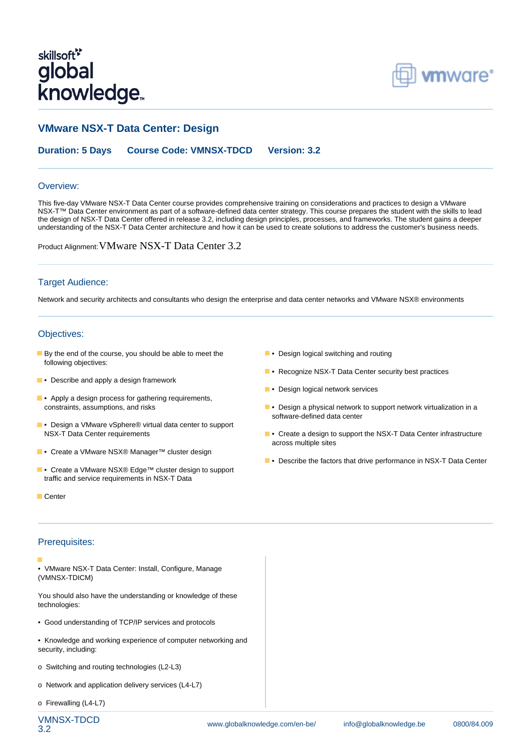# skillsoft<sup>\*</sup> global knowledge<sub>™</sub>



## **VMware NSX-T Data Center: Design**

**Duration: 5 Days Course Code: VMNSX-TDCD Version: 3.2**

#### Overview:

This five-day VMware NSX-T Data Center course provides comprehensive training on considerations and practices to design a VMware NSX-T™ Data Center environment as part of a software-defined data center strategy. This course prepares the student with the skills to lead the design of NSX-T Data Center offered in release 3.2, including design principles, processes, and frameworks. The student gains a deeper understanding of the NSX-T Data Center architecture and how it can be used to create solutions to address the customer's business needs.

Product Alignment:VMware NSX-T Data Center 3.2

#### Target Audience:

Network and security architects and consultants who design the enterprise and data center networks and VMware NSX® environments

#### Objectives:

- **By the end of the course, you should be able to meet the Design logical switching and routing** following objectives:
- **•** Describe and apply a design framework
- **•** Apply a design process for gathering requirements,
- • Design a VMware vSphere® virtual data center to support
- • Create a VMware NSX® Manager<sup>™</sup> cluster design
- • Create a VMware NSX® Edge™ cluster design to support traffic and service requirements in NSX-T Data
- 
- **Recognize NSX-T Data Center security best practices**
- **•** Design logical network services
- constraints, assumptions, and risks  **Design a physical network to support network virtualization in a** software-defined data center
- NSX-T Data Center requirements Create a design to support the NSX-T Data Center infrastructure across multiple sites
	- **•** Describe the factors that drive performance in NSX-T Data Center

**Center** 

#### Prerequisites:

• VMware NSX-T Data Center: Install, Configure, Manage (VMNSX-TDICM)

You should also have the understanding or knowledge of these technologies:

- Good understanding of TCP/IP services and protocols
- Knowledge and working experience of computer networking and security, including:
- o Switching and routing technologies (L2-L3)
- o Network and application delivery services (L4-L7)
- o Firewalling (L4-L7)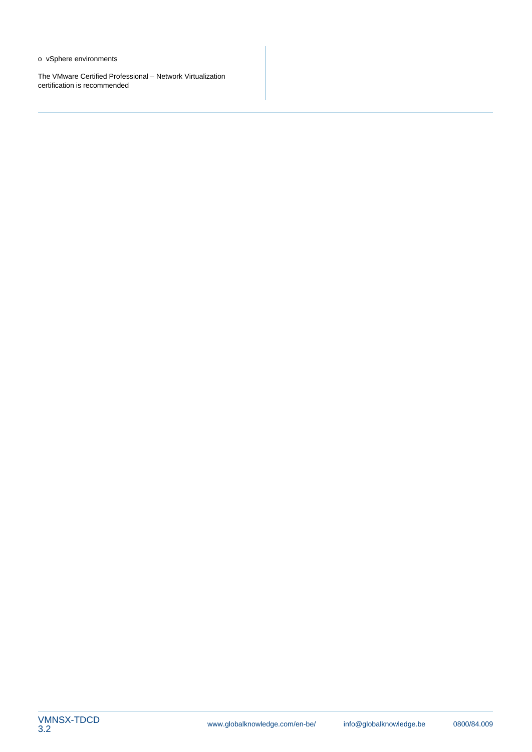#### o vSphere environments

The VMware Certified Professional – Network Virtualization certification is recommended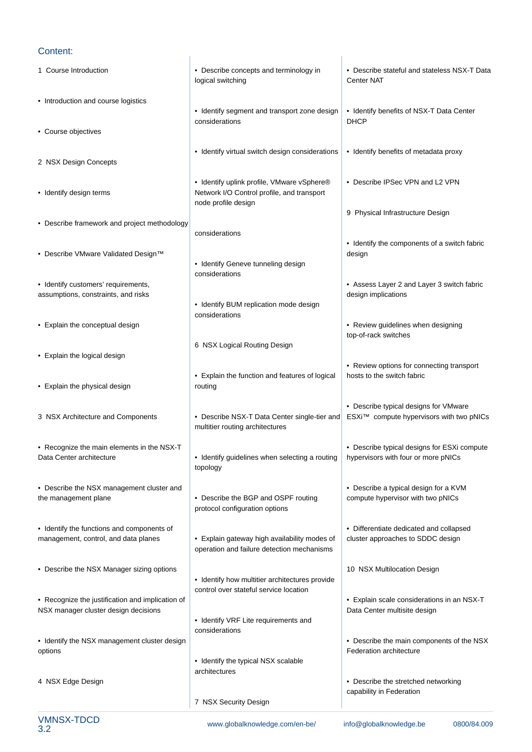#### Content:

1 Course Introduction **•** Describe concepts and terminology in • Describe stateful and stateless NSX-T Data logical switching contract of the logical switching contract of the contract of the Center NAT line line • Introduction and course logistics • Identify segment and transport zone design | • Identify benefits of NSX-T Data Center considerations DHCP • Course objectives • Identify virtual switch design considerations | • Identify benefits of metadata proxy 2 NSX Design Concepts • Identify uplink profile, VMware vSphere® • Describe IPSec VPN and L2 VPN • Identify design terms Network I/O Control profile, and transport node profile design 9 Physical Infrastructure Design • Describe framework and project methodology considerations • Identify the components of a switch fabric • Describe VMware Validated Design™ design • Identify Geneve tunneling design considerations • Identify customers' requirements, and the state of the state of the state of the Assess Layer 2 and Layer 3 switch fabric assumptions, constraints, and risks design implications design implications of the state of the state of the state of the state of the state of the state of the state of the state of the state of the state of the state of • Identify BUM replication mode design considerations • Explain the conceptual design line • Review guidelines when designing top-of-rack switches 6 NSX Logical Routing Design • Explain the logical design • Review options for connecting transport • Explain the function and features of logical hosts to the switch fabric • Explain the physical design **routing** routing line line • Describe typical designs for VMware 3 NSX Architecture and Components • Describe NSX-T Data Center single-tier and ESXi™ compute hypervisors with two pNICs multitier routing architectures • Recognize the main elements in the NSX-T **• Performance of the MSX-T** • Describe typical designs for ESXi compute Data Center architecture **• Identify guidelines when selecting a routing hypervisors with four or more pNICs** line topology and topology and the state of the state of the state of the state of the state of the state of the state of the state of the state of the state of the state of the state of the state of the state of the state • Describe the NSX management cluster and **• Describe a typical design for a KVM** the management plane **• Describe the BGP and OSPF routing compute hypervisor with two pNICs** protocol configuration options • Identify the functions and components of **• Differentiate dedicated and collapsed** management, control, and data planes • Explain gateway high availability modes of cluster approaches to SDDC design operation and failure detection mechanisms • Describe the NSX Manager sizing options 10 NSX Multilocation Design • Identify how multitier architectures provide control over stateful service location • Recognize the justification and implication of line • explain scale considerations in an NSX-T NSX manager cluster design decisions **Data Center multisite design** Data Center multisite design • Identify VRF Lite requirements and considerations • Identify the NSX management cluster design line • Describe the main components of the NSX options **Federation architecture Federation architecture** • Identify the typical NSX scalable architectures 4 NSX Edge Design line • Describe the stretched networking • Describe the stretched networking capability in Federation 7 NSX Security Design